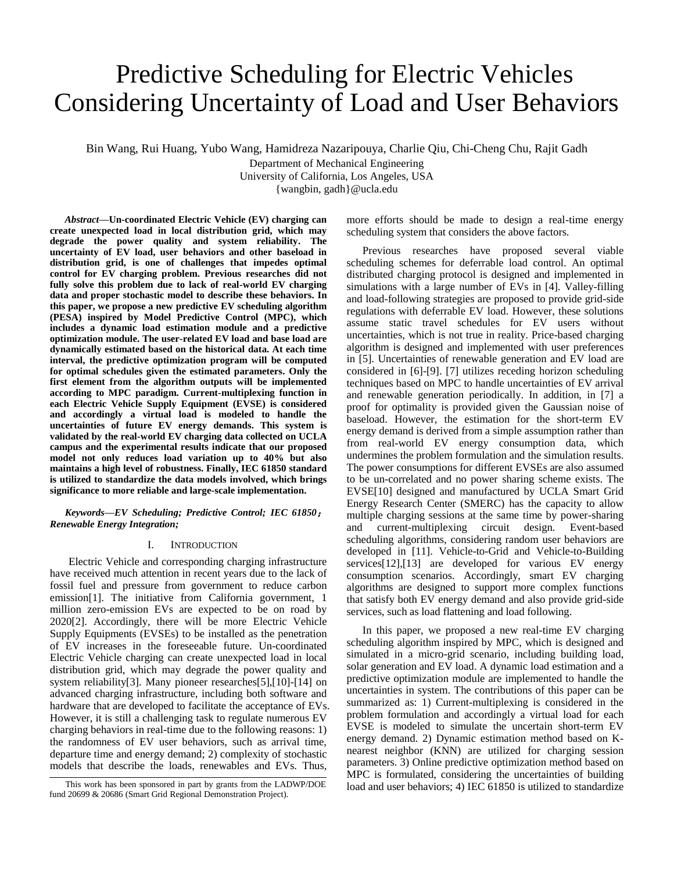# Predictive Scheduling for Electric Vehicles Considering Uncertainty of Load and User Behaviors

Bin Wang, Rui Huang, Yubo Wang, Hamidreza Nazaripouya, Charlie Qiu, Chi-Cheng Chu, Rajit Gadh

Department of Mechanical Engineering University of California, Los Angeles, USA

{wangbin, gadh}@ucla.edu

*Abstract***—Un-coordinated Electric Vehicle (EV) charging can create unexpected load in local distribution grid, which may degrade the power quality and system reliability. The uncertainty of EV load, user behaviors and other baseload in distribution grid, is one of challenges that impedes optimal control for EV charging problem. Previous researches did not fully solve this problem due to lack of real-world EV charging data and proper stochastic model to describe these behaviors. In this paper, we propose a new predictive EV scheduling algorithm (PESA) inspired by Model Predictive Control (MPC), which includes a dynamic load estimation module and a predictive optimization module. The user-related EV load and base load are dynamically estimated based on the historical data. At each time interval, the predictive optimization program will be computed for optimal schedules given the estimated parameters. Only the first element from the algorithm outputs will be implemented according to MPC paradigm. Current-multiplexing function in each Electric Vehicle Supply Equipment (EVSE) is considered and accordingly a virtual load is modeled to handle the uncertainties of future EV energy demands. This system is validated by the real-world EV charging data collected on UCLA campus and the experimental results indicate that our proposed model not only reduces load variation up to 40% but also maintains a high level of robustness. Finally, IEC 61850 standard is utilized to standardize the data models involved, which brings significance to more reliable and large-scale implementation.**

*Keywords—EV Scheduling; Predictive Control; IEC 61850*; *Renewable Energy Integration;* 

## I. INTRODUCTION

Electric Vehicle and corresponding charging infrastructure have received much attention in recent years due to the lack of fossil fuel and pressure from government to reduce carbon emission[1]. The initiative from California government, 1 million zero-emission EVs are expected to be on road by 2020[2]. Accordingly, there will be more Electric Vehicle Supply Equipments (EVSEs) to be installed as the penetration of EV increases in the foreseeable future. Un-coordinated Electric Vehicle charging can create unexpected load in local distribution grid, which may degrade the power quality and system reliability[3]. Many pioneer researches[5],[10]-[14] on advanced charging infrastructure, including both software and hardware that are developed to facilitate the acceptance of EVs. However, it is still a challenging task to regulate numerous EV charging behaviors in real-time due to the following reasons: 1) the randomness of EV user behaviors, such as arrival time, departure time and energy demand; 2) complexity of stochastic models that describe the loads, renewables and EVs. Thus,

more efforts should be made to design a real-time energy scheduling system that considers the above factors.

Previous researches have proposed several viable scheduling schemes for deferrable load control. An optimal distributed charging protocol is designed and implemented in simulations with a large number of EVs in [4]. Valley-filling and load-following strategies are proposed to provide grid-side regulations with deferrable EV load. However, these solutions assume static travel schedules for EV users without uncertainties, which is not true in reality. Price-based charging algorithm is designed and implemented with user preferences in [5]. Uncertainties of renewable generation and EV load are considered in [6]-[9]. [7] utilizes receding horizon scheduling techniques based on MPC to handle uncertainties of EV arrival and renewable generation periodically. In addition, in [7] a proof for optimality is provided given the Gaussian noise of baseload. However, the estimation for the short-term EV energy demand is derived from a simple assumption rather than from real-world EV energy consumption data, which undermines the problem formulation and the simulation results. The power consumptions for different EVSEs are also assumed to be un-correlated and no power sharing scheme exists. The EVSE[10] designed and manufactured by UCLA Smart Grid Energy Research Center (SMERC) has the capacity to allow multiple charging sessions at the same time by power-sharing and current-multiplexing circuit design. Event-based scheduling algorithms, considering random user behaviors are developed in [11]. Vehicle-to-Grid and Vehicle-to-Building services[12],[13] are developed for various EV energy consumption scenarios. Accordingly, smart EV charging algorithms are designed to support more complex functions that satisfy both EV energy demand and also provide grid-side services, such as load flattening and load following.

In this paper, we proposed a new real-time EV charging scheduling algorithm inspired by MPC, which is designed and simulated in a micro-grid scenario, including building load, solar generation and EV load. A dynamic load estimation and a predictive optimization module are implemented to handle the uncertainties in system. The contributions of this paper can be summarized as: 1) Current-multiplexing is considered in the problem formulation and accordingly a virtual load for each EVSE is modeled to simulate the uncertain short-term EV energy demand. 2) Dynamic estimation method based on Knearest neighbor (KNN) are utilized for charging session parameters. 3) Online predictive optimization method based on MPC is formulated, considering the uncertainties of building This work has been sponsored in part by grants from the LADWP/DOE load and user behaviors; 4) IEC 61850 is utilized to standardize

fund 20699 & 20686 (Smart Grid Regional Demonstration Project).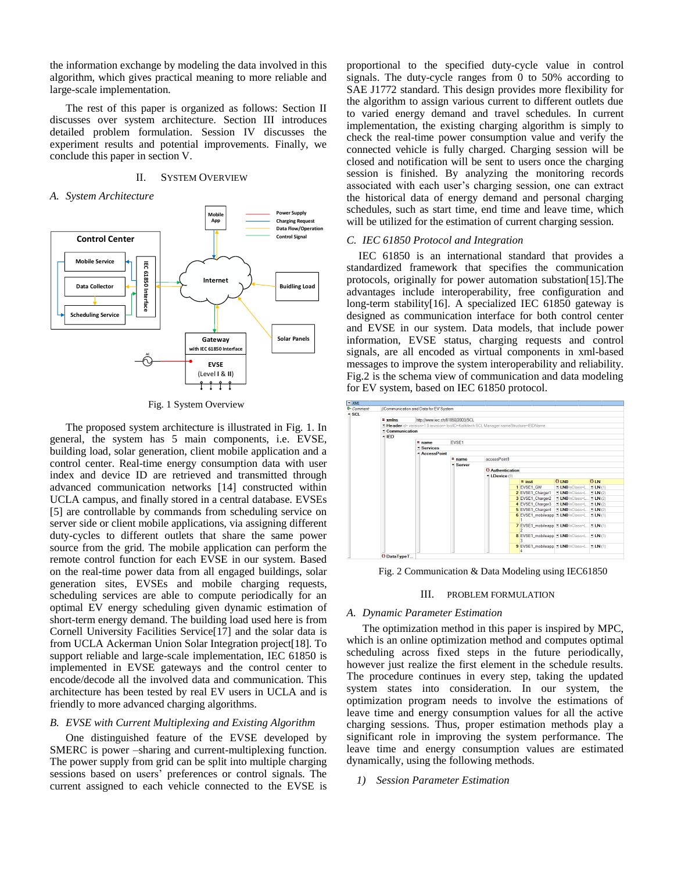the information exchange by modeling the data involved in this algorithm, which gives practical meaning to more reliable and large-scale implementation.

The rest of this paper is organized as follows: Section II discusses over system architecture. Section III introduces detailed problem formulation. Session IV discusses the experiment results and potential improvements. Finally, we conclude this paper in section V.

# II. SYSTEM OVERVIEW

#### *A. System Architecture*



Fig. 1 System Overview

The proposed system architecture is illustrated in Fig. 1. In general, the system has 5 main components, i.e. EVSE, building load, solar generation, client mobile application and a control center. Real-time energy consumption data with user index and device ID are retrieved and transmitted through advanced communication networks [14] constructed within UCLA campus, and finally stored in a central database. EVSEs [5] are controllable by commands from scheduling service on server side or client mobile applications, via assigning different duty-cycles to different outlets that share the same power source from the grid. The mobile application can perform the remote control function for each EVSE in our system. Based on the real-time power data from all engaged buildings, solar generation sites, EVSEs and mobile charging requests, scheduling services are able to compute periodically for an optimal EV energy scheduling given dynamic estimation of short-term energy demand. The building load used here is from Cornell University Facilities Service[17] and the solar data is from UCLA Ackerman Union Solar Integration project[18]. To support reliable and large-scale implementation, IEC 61850 is implemented in EVSE gateways and the control center to encode/decode all the involved data and communication. This architecture has been tested by real EV users in UCLA and is friendly to more advanced charging algorithms.

## *B. EVSE with Current Multiplexing and Existing Algorithm*

One distinguished feature of the EVSE developed by SMERC is power –sharing and current-multiplexing function. The power supply from grid can be split into multiple charging sessions based on users' preferences or control signals. The current assigned to each vehicle connected to the EVSE is proportional to the specified duty-cycle value in control signals. The duty-cycle ranges from 0 to 50% according to SAE J1772 standard. This design provides more flexibility for the algorithm to assign various current to different outlets due to varied energy demand and travel schedules. In current implementation, the existing charging algorithm is simply to check the real-time power consumption value and verify the connected vehicle is fully charged. Charging session will be closed and notification will be sent to users once the charging session is finished. By analyzing the monitoring records associated with each user's charging session, one can extract the historical data of energy demand and personal charging schedules, such as start time, end time and leave time, which will be utilized for the estimation of current charging session.

#### *C. IEC 61850 Protocol and Integration*

IEC 61850 is an international standard that provides a standardized framework that specifies the communication protocols, originally for power automation substation[15].The advantages include interoperability, free configuration and long-term stability[16]. A specialized IEC 61850 gateway is designed as communication interface for both control center and EVSE in our system. Data models, that include power information, EVSE status, charging requests and control signals, are all encoded as virtual components in xml-based messages to improve the system interoperability and reliability. Fig.2 is the schema view of communication and data modeling for EV system, based on IEC 61850 protocol.



Fig. 2 Communication & Data Modeling using IEC61850

## III. PROBLEM FORMULATION

## *A. Dynamic Parameter Estimation*

The optimization method in this paper is inspired by MPC, which is an online optimization method and computes optimal scheduling across fixed steps in the future periodically, however just realize the first element in the schedule results. The procedure continues in every step, taking the updated system states into consideration. In our system, the optimization program needs to involve the estimations of leave time and energy consumption values for all the active charging sessions. Thus, proper estimation methods play a significant role in improving the system performance. The leave time and energy consumption values are estimated dynamically, using the following methods.

*1) Session Parameter Estimation*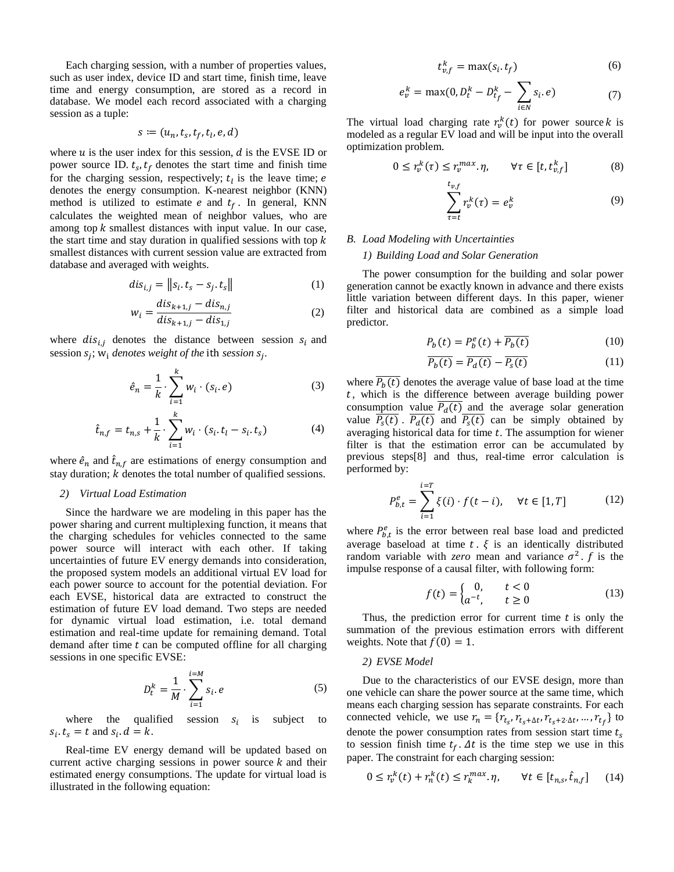Each charging session, with a number of properties values, such as user index, device ID and start time, finish time, leave time and energy consumption, are stored as a record in database. We model each record associated with a charging session as a tuple:

$$
s \coloneqq (u_n, t_s, t_f, t_l, e, d)
$$

where  $u$  is the user index for this session,  $d$  is the EVSE ID or power source ID.  $t_s$ ,  $t_f$  denotes the start time and finish time for the charging session, respectively;  $t<sub>l</sub>$  is the leave time; e denotes the energy consumption. K-nearest neighbor (KNN) method is utilized to estimate  $e$  and  $t_f$ . In general, KNN calculates the weighted mean of neighbor values, who are among top  $k$  smallest distances with input value. In our case, the start time and stay duration in qualified sessions with top  $k$ smallest distances with current session value are extracted from database and averaged with weights.

$$
dis_{i,j} = ||s_i \tcdot t_s - s_j \tcdot t_s|| \t\t(1)
$$

$$
w_i = \frac{dis_{k+1,j} - dis_{n,j}}{dis_{k+1,j} - dis_{1,j}}
$$
(2)

where  $dis_{i,j}$  denotes the distance between session  $s_i$  and session  $s_j$ ;  $w_i$  *denotes weight of the ith session*  $s_j$ .

$$
\hat{e}_n = \frac{1}{k} \cdot \sum_{i=1}^k w_i \cdot (s_i, e) \tag{3}
$$

$$
\hat{t}_{n,f} = t_{n,s} + \frac{1}{k} \cdot \sum_{i=1}^{k} w_i \cdot (s_i, t_l - s_i, t_s)
$$
 (4)

where  $\hat{e}_n$  and  $\hat{t}_{n,f}$  are estimations of energy consumption and stay duration;  $k$  denotes the total number of qualified sessions.

#### *2) Virtual Load Estimation*

Since the hardware we are modeling in this paper has the power sharing and current multiplexing function, it means that the charging schedules for vehicles connected to the same power source will interact with each other. If taking uncertainties of future EV energy demands into consideration, the proposed system models an additional virtual EV load for each power source to account for the potential deviation. For each EVSE, historical data are extracted to construct the estimation of future EV load demand. Two steps are needed for dynamic virtual load estimation, i.e. total demand estimation and real-time update for remaining demand. Total demand after time  $t$  can be computed offline for all charging sessions in one specific EVSE:

$$
D_t^k = \frac{1}{M} \cdot \sum_{i=1}^{i=M} s_i \cdot e \tag{5}
$$

where the qualified session  $s_i$ is subject to  $s_i$ .  $t_s = t$  and  $s_i$ .  $d = k$ .

Real-time EV energy demand will be updated based on current active charging sessions in power source  $k$  and their estimated energy consumptions. The update for virtual load is illustrated in the following equation:

$$
t_{v,f}^k = \max(s_i, t_f) \tag{6}
$$

$$
e_v^k = \max(0, D_t^k - D_{t_f}^k - \sum_{i \in N} s_i e)
$$
 (7)

The virtual load charging rate  $r_v^k(t)$  for power source k is modeled as a regular EV load and will be input into the overall optimization problem.

$$
0 \le r_v^k(\tau) \le r_v^{max}.\eta, \qquad \forall \tau \in [t, t_{v,f}^k]
$$
 (8)

$$
\sum_{\tau=t}^{t_{v,f}} r_v^k(\tau) = e_v^k \tag{9}
$$

#### *B. Load Modeling with Uncertainties*

#### *1) Building Load and Solar Generation*

The power consumption for the building and solar power generation cannot be exactly known in advance and there exists little variation between different days. In this paper, wiener filter and historical data are combined as a simple load predictor.

$$
P_b(t) = P_b^e(t) + \overline{P_b(t)}
$$
\n(10)

$$
\overline{P_b(t)} = \overline{P_d(t)} - \overline{P_s(t)}\tag{11}
$$

where  $\overline{P_b(t)}$  denotes the average value of base load at the time , which is the difference between average building power consumption value  $\overline{P_d(t)}$  and the average solar generation value  $\overline{P_{s}(t)}$ .  $\overline{P_{d}(t)}$  and  $\overline{P_{s}(t)}$  can be simply obtained by averaging historical data for time  $t$ . The assumption for wiener filter is that the estimation error can be accumulated by previous steps[8] and thus, real-time error calculation is performed by:

$$
P_{b,t}^{e} = \sum_{i=1}^{i=T} \xi(i) \cdot f(t-i), \quad \forall t \in [1,T]
$$
 (12)

where  $P_{b,t}^e$  is the error between real base load and predicted average baseload at time  $t \cdot \xi$  is an identically distributed random variable with *zero* mean and variance  $\sigma^2$ . f is the impulse response of a causal filter, with following form:

$$
f(t) = \begin{cases} 0, & t < 0 \\ a^{-t}, & t \ge 0 \end{cases} \tag{13}
$$

Thus, the prediction error for current time  $t$  is only the summation of the previous estimation errors with different weights. Note that  $f(0) = 1$ .

#### *2) EVSE Model*

Due to the characteristics of our EVSE design, more than one vehicle can share the power source at the same time, which means each charging session has separate constraints. For each connected vehicle, we use  $r_n = \{r_{t_s}, r_{t_s + \Delta t}, r_{t_s + 2 \cdot \Delta t}, \dots, r_{t_f}\}\)$  to denote the power consumption rates from session start time  $t_s$ to session finish time  $t_f$ .  $\Delta t$  is the time step we use in this paper. The constraint for each charging session:

$$
0 \le r_v^k(t) + r_n^k(t) \le r_k^{\max} \eta, \qquad \forall t \in [t_{n,s}, \hat{t}_{n,f}] \tag{14}
$$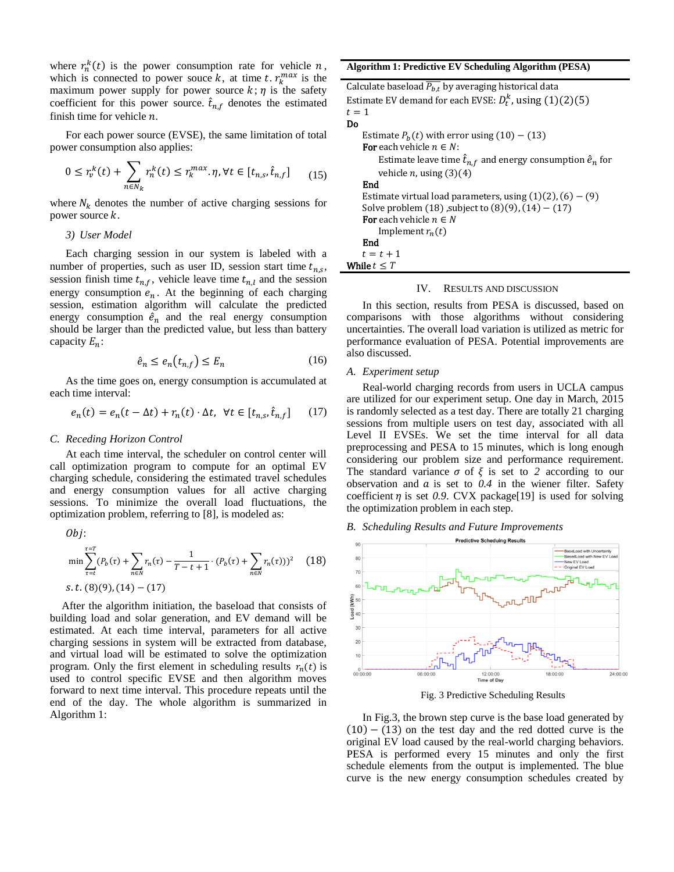where  $r_n^k(t)$  is the power consumption rate for vehicle  $n$ , which is connected to power souce k, at time t.  $r_k^{max}$  is the maximum power supply for power source  $k$ ;  $\eta$  is the safety coefficient for this power source.  $\hat{t}_{n,f}$  denotes the estimated finish time for vehicle  $n$ .

For each power source (EVSE), the same limitation of total power consumption also applies:

$$
0 \le r_v^k(t) + \sum_{n \in N_k} r_n^k(t) \le r_k^{max}.\eta, \forall t \in [t_{n,s}, \hat{t}_{n,f}] \tag{15}
$$

where  $N_k$  denotes the number of active charging sessions for power source  $k$ .

## *3) User Model*

Each charging session in our system is labeled with a number of properties, such as user ID, session start time  $t_{n,s}$ , session finish time  $t_{n,f}$ , vehicle leave time  $t_{n,l}$  and the session energy consumption  $e_n$ . At the beginning of each charging session, estimation algorithm will calculate the predicted energy consumption  $\hat{e}_n$  and the real energy consumption should be larger than the predicted value, but less than battery capacity  $E_n$ :

$$
\hat{e}_n \le e_n(t_{n,f}) \le E_n \tag{16}
$$

As the time goes on, energy consumption is accumulated at each time interval:

$$
e_n(t) = e_n(t - \Delta t) + r_n(t) \cdot \Delta t, \ \forall t \in [t_{n,s}, \hat{t}_{n,f}] \tag{17}
$$

# *C. Receding Horizon Control*

At each time interval, the scheduler on control center will call optimization program to compute for an optimal EV charging schedule, considering the estimated travel schedules and energy consumption values for all active charging sessions. To minimize the overall load fluctuations, the optimization problem, referring to [8], is modeled as:

$$
Obj:
$$
\n
$$
\min \sum_{\tau=t}^{\tau=T} (P_b(\tau) + \sum_{n \in N} r_n(\tau) - \frac{1}{T - t + 1} \cdot (P_b(\tau) + \sum_{n \in N} r_n(\tau)))^2
$$
\n
$$
s.t. (8)(9), (14) - (17)
$$

After the algorithm initiation, the baseload that consists of building load and solar generation, and EV demand will be estimated. At each time interval, parameters for all active charging sessions in system will be extracted from database, and virtual load will be estimated to solve the optimization program. Only the first element in scheduling results  $r_n(t)$  is used to control specific EVSE and then algorithm moves forward to next time interval. This procedure repeats until the end of the day. The whole algorithm is summarized in Algorithm 1:

**Algorithm 1: Predictive EV Scheduling Algorithm (PESA)**

Calculate baseload  $\overline{P_{b,t}}$  by averaging historical data Estimate EV demand for each EVSE:  $D_t^k$ , using  $(1)(2)(5)$  $t = 1$ Do Estimate  $P_h(t)$  with error using (10) – (13) **For** each vehicle  $n \in N$ : Estimate leave time  $\hat{t}_{n,f}$  and energy consumption  $\hat{e}_n$  for vehicle  $n$ , using  $(3)(4)$ End Estimate virtual load parameters, using  $(1)(2)$ ,  $(6) - (9)$ Solve problem  $(18)$ , subject to  $(8)(9)$ ,  $(14) - (17)$ For each vehicle  $n \in N$ Implement  $r_n(t)$ End  $t = t + 1$ While  $t \leq T$ 

# IV. RESULTS AND DISCUSSION

In this section, results from PESA is discussed, based on comparisons with those algorithms without considering uncertainties. The overall load variation is utilized as metric for performance evaluation of PESA. Potential improvements are also discussed.

#### *A. Experiment setup*

Real-world charging records from users in UCLA campus are utilized for our experiment setup. One day in March, 2015 is randomly selected as a test day. There are totally 21 charging sessions from multiple users on test day, associated with all Level II EVSEs. We set the time interval for all data preprocessing and PESA to 15 minutes, which is long enough considering our problem size and performance requirement. The standard variance  $\sigma$  of  $\xi$  is set to 2 according to our observation and  $\alpha$  is set to  $0.4$  in the wiener filter. Safety coefficient  $\eta$  is set 0.9. CVX package[19] is used for solving the optimization problem in each step.

*B. Scheduling Results and Future Improvements*



Fig. 3 Predictive Scheduling Results

In Fig.3, the brown step curve is the base load generated by  $(10) - (13)$  on the test day and the red dotted curve is the original EV load caused by the real-world charging behaviors. PESA is performed every 15 minutes and only the first schedule elements from the output is implemented. The blue curve is the new energy consumption schedules created by